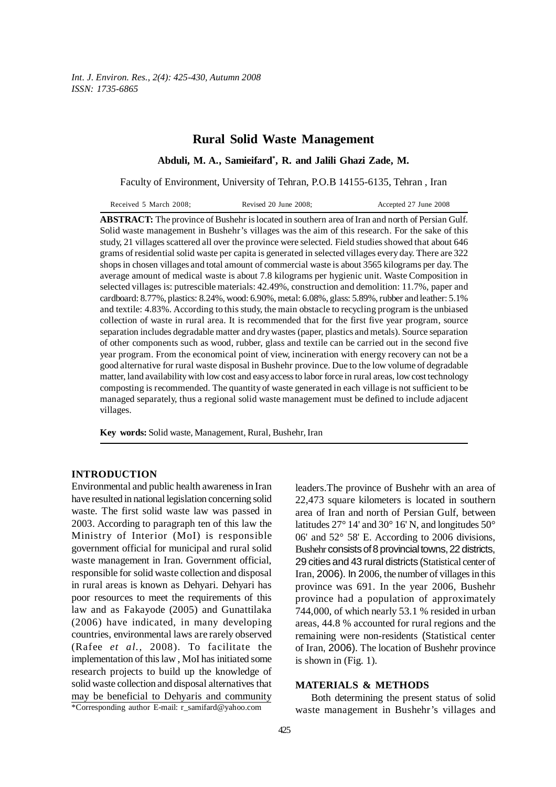*Int. J. Environ. Res., 2(4): 425-430, Autumn 2008 ISSN: 1735-6865*

# **Rural Solid Waste Management**

## **Abduli, M. A., Samieifard\* , R. and Jalili Ghazi Zade, M.**

Faculty of Environment, University of Tehran, P.O.B 14155-6135, Tehran , Iran

**ABSTRACT:** The province of Bushehr is located in southern area of Iran and north of Persian Gulf. Solid waste management in Bushehr's villages was the aim of this research. For the sake of this study, 21 villages scattered all over the province were selected. Field studies showed that about 646 grams of residential solid waste per capita is generated in selected villages every day. There are 322 shops in chosen villages and total amount of commercial waste is about 3565 kilograms per day. The average amount of medical waste is about 7.8 kilograms per hygienic unit. Waste Composition in selected villages is: putrescible materials: 42.49%, construction and demolition: 11.7%, paper and cardboard: 8.77%, plastics: 8.24%, wood: 6.90%, metal: 6.08%, glass: 5.89%, rubber and leather: 5.1% and textile: 4.83%. According to this study, the main obstacle to recycling program is the unbiased collection of waste in rural area. It is recommended that for the first five year program, source separation includes degradable matter and dry wastes (paper, plastics and metals). Source separation of other components such as wood, rubber, glass and textile can be carried out in the second five year program. From the economical point of view, incineration with energy recovery can not be a good alternative for rural waste disposal in Bushehr province. Due to the low volume of degradable matter, land availability with low cost and easy access to labor force in rural areas, low cost technology composting is recommended. The quantity of waste generated in each village is not sufficient to be managed separately, thus a regional solid waste management must be defined to include adjacent villages.

**Key words:** Solid waste, Management, Rural, Bushehr, Iran

## **INTRODUCTION**

Environmental and public health awareness in Iran have resulted in national legislation concerning solid waste. The first solid waste law was passed in 2003. According to paragraph ten of this law the Ministry of Interior (MoI) is responsible government official for municipal and rural solid waste management in Iran. Government official, responsible for solid waste collection and disposal in rural areas is known as Dehyari. Dehyari has poor resources to meet the requirements of this law and as Fakayode (2005) and Gunattilaka (2006) have indicated, in many developing countries, environmental laws are rarely observed (Rafee *et al.,* 2008). To facilitate the implementation of this law , MoI has initiated some research projects to build up the knowledge of solid waste collection and disposal alternatives that may be beneficial to Dehyaris and community leaders.The province of Bushehr with an area of 22,473 square kilometers is located in southern area of Iran and north of Persian Gulf, between latitudes 27° 14' and 30° 16' N, and longitudes 50° 06' and 52° 58' E. According to 2006 divisions, Bushehr consists of 8 provincial towns, 22 districts, 29 cities and 43 rural districts (Statistical center of Iran, 2006). In 2006, the number of villages in this province was 691. In the year 2006, Bushehr province had a population of approximately 744,000, of which nearly 53.1 % resided in urban areas, 44.8 % accounted for rural regions and the remaining were non-residents (Statistical center of Iran, 2006). The location of Bushehr province is shown in (Fig. 1).

## **MATERIALS & METHODS**

Both determining the present status of solid waste management in Bushehr's villages and

<sup>\*</sup>Corresponding author E-mail: r\_samifard@yahoo.com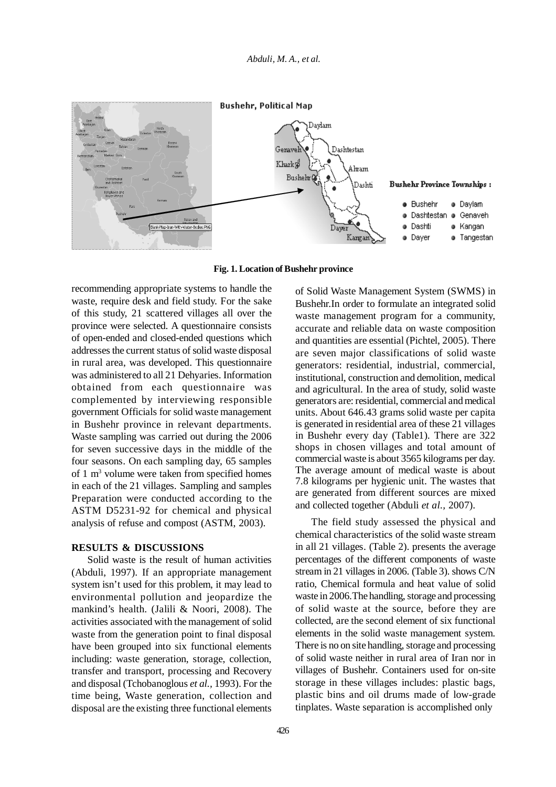

**Fig. 1. Location of Bushehr province**

recommending appropriate systems to handle the waste, require desk and field study. For the sake of this study, 21 scattered villages all over the province were selected. A questionnaire consists of open-ended and closed-ended questions which addresses the current status of solid waste disposal in rural area, was developed. This questionnaire was administered to all 21 Dehyaries. Information obtained from each questionnaire was complemented by interviewing responsible government Officials for solid waste management in Bushehr province in relevant departments. Waste sampling was carried out during the 2006 for seven successive days in the middle of the four seasons. On each sampling day, 65 samples of 1 m<sup>3</sup> volume were taken from specified homes in each of the 21 villages. Sampling and samples Preparation were conducted according to the ASTM D5231-92 for chemical and physical analysis of refuse and compost (ASTM, 2003).

## **RESULTS & DISCUSSIONS**

Solid waste is the result of human activities (Abduli, 1997). If an appropriate management system isn't used for this problem, it may lead to environmental pollution and jeopardize the mankind's health. (Jalili & Noori, 2008). The activities associated with the management of solid waste from the generation point to final disposal have been grouped into six functional elements including: waste generation, storage, collection, transfer and transport, processing and Recovery and disposal (Tchobanoglous *et al.,* 1993). For the time being, Waste generation, collection and disposal are the existing three functional elements

of Solid Waste Management System (SWMS) in Bushehr.In order to formulate an integrated solid waste management program for a community, accurate and reliable data on waste composition and quantities are essential (Pichtel, 2005). There are seven major classifications of solid waste generators: residential, industrial, commercial, institutional, construction and demolition, medical and agricultural. In the area of study, solid waste generators are: residential, commercial and medical units. About 646.43 grams solid waste per capita is generated in residential area of these 21 villages in Bushehr every day (Table1). There are 322 shops in chosen villages and total amount of commercial waste is about 3565 kilograms per day. The average amount of medical waste is about 7.8 kilograms per hygienic unit. The wastes that are generated from different sources are mixed and collected together (Abduli *et al.,* 2007).

The field study assessed the physical and chemical characteristics of the solid waste stream in all 21 villages. (Table 2). presents the average percentages of the different components of waste stream in 21 villages in 2006. (Table 3). shows C/N ratio, Chemical formula and heat value of solid waste in 2006.The handling, storage and processing of solid waste at the source, before they are collected, are the second element of six functional elements in the solid waste management system. There is no on site handling, storage and processing of solid waste neither in rural area of Iran nor in villages of Bushehr. Containers used for on-site storage in these villages includes: plastic bags, plastic bins and oil drums made of low-grade tinplates. Waste separation is accomplished only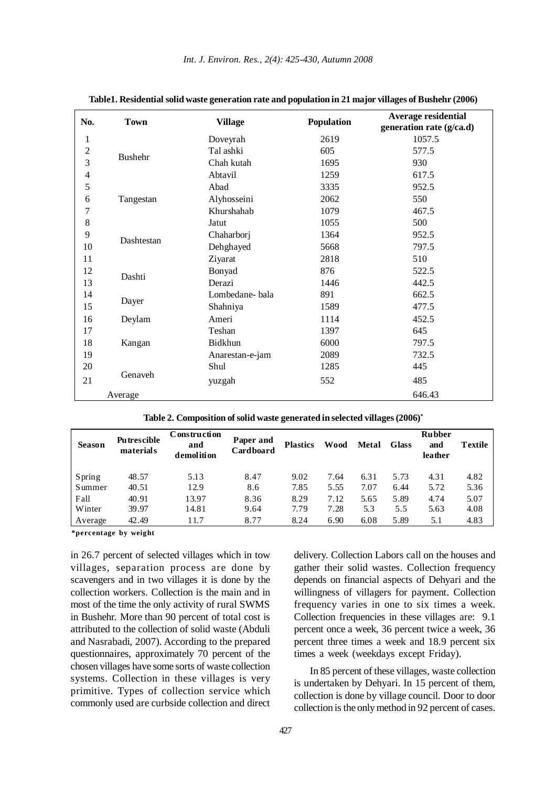| No.            | <b>Town</b>    | <b>Village</b>  | Population | <b>Average residential</b><br>generation rate (g/ca.d) |
|----------------|----------------|-----------------|------------|--------------------------------------------------------|
| 1              |                | Doveyrah        | 2619       | 1057.5                                                 |
| $\overline{c}$ | <b>Bushehr</b> | Tal ashki       | 605        | 577.5                                                  |
| 3              |                | Chah kutah      | 1695       | 930                                                    |
| $\overline{4}$ |                | Abtavil         | 1259       | 617.5                                                  |
| 5              |                | Abad            | 3335       | 952.5                                                  |
| 6              | Tangestan      | Alyhosseini     | 2062       | 550                                                    |
| 7              |                | Khurshahab      | 1079       | 467.5                                                  |
| $8\,$          |                | Jatut           | 1055       | 500                                                    |
| 9              | Dashtestan     | Chaharborj      | 1364       | 952.5                                                  |
| 10             |                | Dehghayed       | 5668       | 797.5                                                  |
| 11             |                | Ziyarat         | 2818       | 510                                                    |
| 12             | Dashti         | Bonyad          | 876        | 522.5                                                  |
| 13             |                | Derazi          | 1446       | 442.5                                                  |
| 14             |                | Lombedane-bala  | 891        | 662.5                                                  |
| 15             | Dayer          | Shahniya        | 1589       | 477.5                                                  |
| 16             | Deylam         | Ameri           | 1114       | 452.5                                                  |
| 17             |                | Teshan          | 1397       | 645                                                    |
| 18             | Kangan         | Bidkhun         | 6000       | 797.5                                                  |
| 19             |                | Anarestan-e-jam | 2089       | 732.5                                                  |
| 20             |                | Shul            | 1285       | 445                                                    |
| 21             | Genaveh        | yuzgah          | 552        | 485                                                    |
|                | Average        |                 |            | 646.43                                                 |

|  | Table1. Residential solid waste generation rate and population in 21 major villages of Bushehr (2006) |  |  |  |
|--|-------------------------------------------------------------------------------------------------------|--|--|--|
|  |                                                                                                       |  |  |  |

|  |  |  |  | Table 2. Composition of solid waste generated in selected villages (2006) $^\ast$ |  |
|--|--|--|--|-----------------------------------------------------------------------------------|--|
|--|--|--|--|-----------------------------------------------------------------------------------|--|

| <b>Season</b> | <b>Putrescible</b><br>materials | Construction<br>and<br>demolition | Paper and<br>Cardboard | <b>Plastics</b> | Wood | Metal | Glass | <b>Rubber</b><br>and<br>leather | <b>Textile</b> |
|---------------|---------------------------------|-----------------------------------|------------------------|-----------------|------|-------|-------|---------------------------------|----------------|
| Spring        | 48.57                           | 5.13                              | 8.47                   | 9.02            | 7.64 | 6.31  | 5.73  | 4.31                            | 4.82           |
| Summer        | 40.51                           | 12.9                              | 8.6                    | 7.85            | 5.55 | 7.07  | 6.44  | 5.72                            | 5.36           |
| Fall          | 40.91                           | 13.97                             | 8.36                   | 8.29            | 7.12 | 5.65  | 5.89  | 4.74                            | 5.07           |
| Winter        | 39.97                           | 14.81                             | 9.64                   | 7.79            | 7.28 | 5.3   | 5.5   | 5.63                            | 4.08           |
| Average       | 42.49                           | 11.7                              | 8.77                   | 8.24            | 6.90 | 6.08  | 5.89  | 5.1                             | 4.83           |

**\*percentage by weight**

in 26.7 percent of selected villages which in tow villages, separation process are done by scavengers and in two villages it is done by the collection workers. Collection is the main and in most of the time the only activity of rural SWMS in Bushehr. More than 90 percent of total cost is attributed to the collection of solid waste (Abduli and Nasrabadi, 2007). According to the prepared questionnaires, approximately 70 percent of the chosen villages have some sorts of waste collection systems. Collection in these villages is very primitive. Types of collection service which commonly used are curbside collection and direct delivery. Collection Labors call on the houses and gather their solid wastes. Collection frequency depends on financial aspects of Dehyari and the willingness of villagers for payment. Collection frequency varies in one to six times a week. Collection frequencies in these villages are: 9.1 percent once a week, 36 percent twice a week, 36 percent three times a week and 18.9 percent six times a week (weekdays except Friday).

In 85 percent of these villages, waste collection is undertaken by Dehyari. In 15 percent of them, collection is done by village council. Door to door collection is the only method in 92 percent of cases.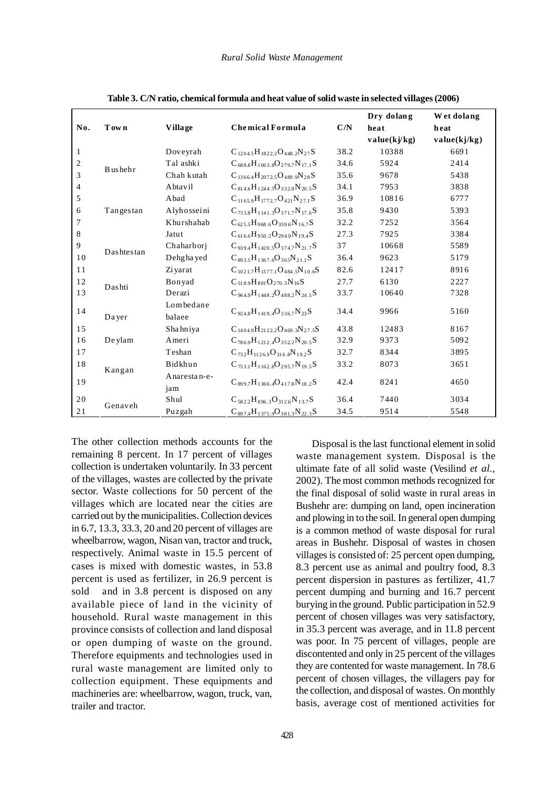| No. | Town            | <b>Village</b>      | <b>Chemical Formula</b>                  | C/N  | Dry dolang<br>heat<br>value(kj/kg) | Wet dolang<br>heat<br>value(kj/kg) |
|-----|-----------------|---------------------|------------------------------------------|------|------------------------------------|------------------------------------|
| 1   |                 | Doveyrah            | $C_{1204.5}H_{1822.2}O_{448.2}N_{27}S$   | 38.2 | 10388                              | 6691                               |
| 2   |                 | Tal ashki           | $C_{6888}H_{1063.8}O_{279.7}N_{17.1}S$   | 34.6 | 5924                               | 2414                               |
| 3   | <b>B</b> ushehr | Chah kutah          | $C_{1366.4}H_{2072.5}O_{489.9}N_{28}S$   | 35.6 | 9678                               | 5438                               |
| 4   |                 | Abtavil             | $C_{814.6}H_{1244.5}O_{332.8}N_{20.5}S$  | 34.1 | 7953                               | 3838                               |
| 5   |                 | Abad                | $C_{11659}H_{17727}O_{421}N_{271}S$      | 36.9 | 10816                              | 6777                               |
| 6   | Tangestan       | Alyhosseini         | $C_{733,8}H_{1141,3}O_{371,7}N_{17,6}S$  | 35.8 | 9430                               | 5393                               |
| 7   |                 | Khurshahab          | $C_{6255}H_{968.6}O_{339.6}N_{16.7}S$    | 32.2 | 7252                               | 3564                               |
| 8   |                 | Jatut               | $C_{616,6}H_{950,2}O_{294,9}N_{19,4}S$   | 27.3 | 7925                               | 3384                               |
| 9   | Dashtestan      | Chaharbori          | $C_{9394}H_{14205}O_{3747}N_{217}S$      | 37   | 10668                              | 5589                               |
| 10  |                 | Dehgha yed          | $C_{8935}H_{13676}O_{365}N_{211}S$       | 36.4 | 9623                               | 5179                               |
| 11  |                 | Zi yarat            | $C_{1021.7}H_{1577.1}O_{484.5}N_{10.6}S$ | 82.6 | 12417                              | 8916                               |
| 12  |                 | Bonyad              | $C_{5189}H_{801}O_{270.3}N_{16}S$        | 27.7 | 6130                               | 2227                               |
| 13  | Dashti          | Derazi              | $C_{9649}H_{14482}O_{4882}N_{245}S$      | 33.7 | 10640                              | 7328                               |
| 14  | Dayer           | Lombedane<br>balaee | $C_{9248}H_{14194}O_{3367}N_{23}S$       | 34.4 | 9966                               | 5160                               |
| 15  |                 | Shahniya            | $C_{1404.9}H_{2122.2}O_{469.3}N_{27.5}S$ | 43.8 | 12483                              | 8167                               |
| 16  | De ylam         | Ameri               | $C_{7869}H_{1212,4}O_{352,2}N_{20.5}S$   | 32.9 | 9373                               | 5092                               |
| 17  |                 | Teshan              | $C_{732}H_{11269}O_{3168}N_{192}S$       | 32.7 | 8344                               | 3895                               |
| 18  | Kangan          | Bidkhun             | $C_{753,1}H_{1162,8}O_{295,7}N_{19,5}S$  | 33.2 | 8073                               | 3651                               |
| 19  |                 | Anarestan-e-<br>jam | $C_{8997}H_{1366.4}O_{417.8}N_{18.2}S$   | 42.4 | 8241                               | 4650                               |
| 20  | Genaveh         | Shul                | $C_{5822}H_{8963}O_{3126}N_{137}S$       | 36.4 | 7440                               | 3034                               |
| 21  |                 | Puzgah              | $C_{897,4}H_{1375,9}O_{381,3}N_{22,3}S$  | 34.5 | 9514                               | 5548                               |

**Table 3. C/N ratio, chemical formula and heat value of solid waste in selected villages (2006)**

The other collection methods accounts for the remaining 8 percent. In 17 percent of villages collection is undertaken voluntarily. In 33 percent of the villages, wastes are collected by the private sector. Waste collections for 50 percent of the villages which are located near the cities are carried out by the municipalities. Collection devices in 6.7, 13.3, 33.3, 20 and 20 percent of villages are wheelbarrow, wagon, Nisan van, tractor and truck, respectively. Animal waste in 15.5 percent of cases is mixed with domestic wastes, in 53.8 percent is used as fertilizer, in 26.9 percent is sold and in 3.8 percent is disposed on any available piece of land in the vicinity of household. Rural waste management in this province consists of collection and land disposal or open dumping of waste on the ground. Therefore equipments and technologies used in rural waste management are limited only to collection equipment. These equipments and machineries are: wheelbarrow, wagon, truck, van, trailer and tractor.

Disposal is the last functional element in solid waste management system. Disposal is the ultimate fate of all solid waste (Vesilind *et al.,* 2002). The most common methods recognized for the final disposal of solid waste in rural areas in Bushehr are: dumping on land, open incineration and plowing in to the soil. In general open dumping is a common method of waste disposal for rural areas in Bushehr. Disposal of wastes in chosen villages is consisted of: 25 percent open dumping, 8.3 percent use as animal and poultry food, 8.3 percent dispersion in pastures as fertilizer, 41.7 percent dumping and burning and 16.7 percent burying in the ground. Public participation in 52.9 percent of chosen villages was very satisfactory, in 35.3 percent was average, and in 11.8 percent was poor. In 75 percent of villages, people are discontented and only in 25 percent of the villages they are contented for waste management. In 78.6 percent of chosen villages, the villagers pay for the collection, and disposal of wastes. On monthly basis, average cost of mentioned activities for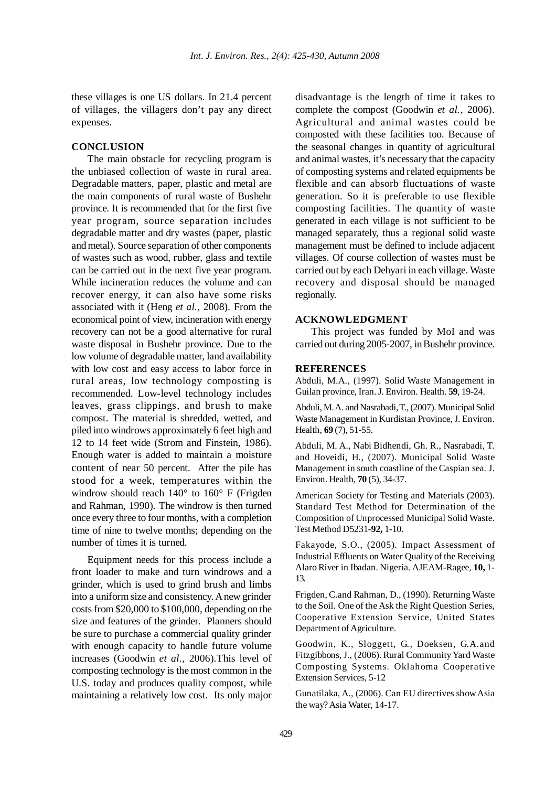these villages is one US dollars. In 21.4 percent of villages, the villagers don't pay any direct expenses.

## **CONCLUSION**

The main obstacle for recycling program is the unbiased collection of waste in rural area. Degradable matters, paper, plastic and metal are the main components of rural waste of Bushehr province. It is recommended that for the first five year program, source separation includes degradable matter and dry wastes (paper, plastic and metal). Source separation of other components of wastes such as wood, rubber, glass and textile can be carried out in the next five year program. While incineration reduces the volume and can recover energy, it can also have some risks associated with it (Heng *et al.,* 2008). From the economical point of view, incineration with energy recovery can not be a good alternative for rural waste disposal in Bushehr province. Due to the low volume of degradable matter, land availability with low cost and easy access to labor force in rural areas, low technology composting is recommended. Low-level technology includes leaves, grass clippings, and brush to make compost. The material is shredded, wetted, and piled into windrows approximately 6 feet high and 12 to 14 feet wide (Strom and Finstein, 1986). Enough water is added to maintain a moisture content of near 50 percent. After the pile has stood for a week, temperatures within the windrow should reach 140° to 160° F (Frigden and Rahman, 1990). The windrow is then turned once every three to four months, with a completion time of nine to twelve months; depending on the number of times it is turned.

Equipment needs for this process include a front loader to make and turn windrows and a grinder, which is used to grind brush and limbs into a uniform size and consistency. A new grinder costs from \$20,000 to \$100,000, depending on the size and features of the grinder. Planners should be sure to purchase a commercial quality grinder with enough capacity to handle future volume increases (Goodwin *et al.,* 2006).This level of composting technology is the most common in the U.S. today and produces quality compost, while maintaining a relatively low cost. Its only major

disadvantage is the length of time it takes to complete the compost (Goodwin *et al.,* 2006). Agricultural and animal wastes could be composted with these facilities too. Because of the seasonal changes in quantity of agricultural and animal wastes, it's necessary that the capacity of composting systems and related equipments be flexible and can absorb fluctuations of waste generation. So it is preferable to use flexible composting facilities. The quantity of waste generated in each village is not sufficient to be managed separately, thus a regional solid waste management must be defined to include adjacent villages. Of course collection of wastes must be carried out by each Dehyari in each village. Waste recovery and disposal should be managed regionally.

### **ACKNOWLEDGMENT**

This project was funded by MoI and was carried out during 2005-2007, in Bushehr province.

### **REFERENCES**

Abduli, M.A., (1997). Solid Waste Management in Guilan province, Iran. J. Environ. Health. **59**, 19-24.

Abduli, M. A. and Nasrabadi, T., (2007). Municipal Solid Waste Management in Kurdistan Province, J. Environ. Health, **69** (7), 51-55.

Abduli, M. A., Nabi Bidhendi, Gh. R., Nasrabadi, T. and Hoveidi, H., (2007). Municipal Solid Waste Management in south coastline of the Caspian sea. J. Environ. Health, **70** (5), 34-37.

American Society for Testing and Materials (2003). Standard Test Method for Determination of the Composition of Unprocessed Municipal Solid Waste. Test Method D5231-**92,** 1-10.

Fakayode, S.O., (2005). Impact Assessment of Industrial Effluents on Water Quality of the Receiving Alaro River in Ibadan. Nigeria. AJEAM-Ragee, **10,** 1- 13.

Frigden, C.and Rahman, D., (1990). Returning Waste to the Soil. One of the Ask the Right Question Series, Cooperative Extension Service, United States Department of Agriculture.

Goodwin, K., Sloggett, G., Doeksen, G.A.and Fitzgibbons, J., (2006). Rural Community Yard Waste Composting Systems. Oklahoma Cooperative Extension Services, 5-12

Gunatilaka, A., (2006). Can EU directives show Asia the way? Asia Water, 14-17.